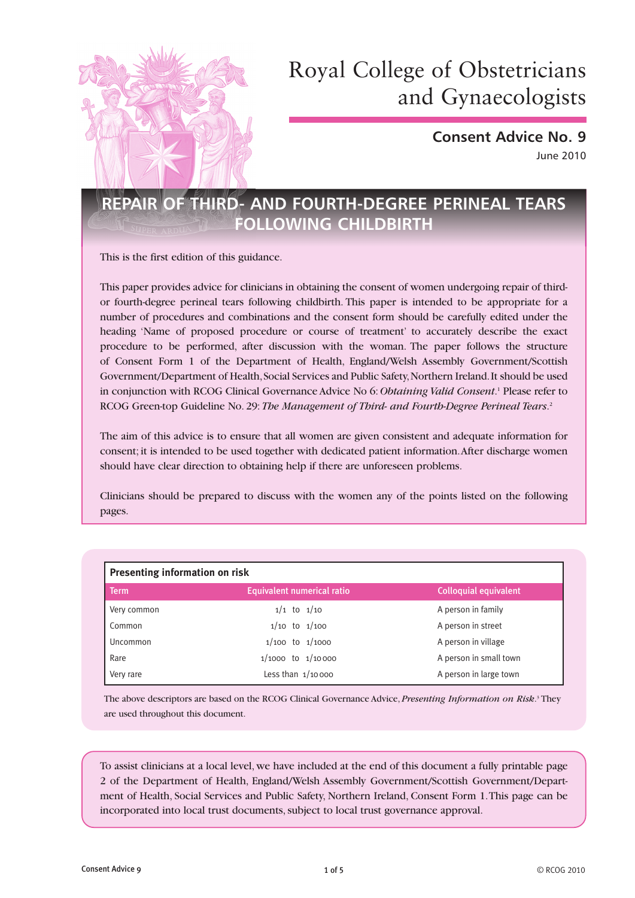

# Royal College of Obstetricians and Gynaecologists

**Consent Advice No. 9** June 2010

# **REPAIR OF THIRD- AND FOURTH-DEGREE PERINEAL TEARS FOLLOWING CHILDBIRTH**

This is the first edition of this guidance.

This paper provides advice for clinicians in obtaining the consent of women undergoing repair of thirdor fourth-degree perineal tears following childbirth. This paper is intended to be appropriate for a number of procedures and combinations and the consent form should be carefully edited under the heading 'Name of proposed procedure or course of treatment' to accurately describe the exact procedure to be performed, after discussion with the woman. The paper follows the structure of Consent Form 1 of the Department of Health, England/Welsh Assembly Government/Scottish Government/Department of Health, Social Services and Public Safety, Northern Ireland. It should be used in conjunction with RCOG Clinical Governance Advice No 6: *Obtaining Valid Consent*. <sup>1</sup> Please refer to RCOG Green-top Guideline No. 29: *The Management of Third- and Fourth-Degree Perineal Tears*. 2

The aim of this advice is to ensure that all women are given consistent and adequate information for consent; it is intended to be used together with dedicated patient information. After discharge women should have clear direction to obtaining help if there are unforeseen problems.

Clinicians should be prepared to discuss with the women any of the points listed on the following pages.

| <b>Presenting information on risk</b> |                                   |                              |
|---------------------------------------|-----------------------------------|------------------------------|
| <b>Term</b>                           | <b>Equivalent numerical ratio</b> | <b>Colloquial equivalent</b> |
| Very common                           | $1/1$ to $1/10$                   | A person in family           |
| Common                                | $1/10$ to $1/100$                 | A person in street           |
| Uncommon                              | $1/100$ to $1/1000$               | A person in village          |
| Rare                                  | $1/1000$ to $1/10000$             | A person in small town       |
| Very rare                             | Less than $1/10000$               | A person in large town       |

The above descriptors are based on the RCOG Clinical Governance Advice, *Presenting Information on Risk*. 3 They are used throughout this document.

To assist clinicians at a local level, we have included at the end of this document a fully printable page 2 of the Department of Health, England/Welsh Assembly Government/Scottish Government/Department of Health, Social Services and Public Safety, Northern Ireland, Consent Form 1. This page can be incorporated into local trust documents, subject to local trust governance approval.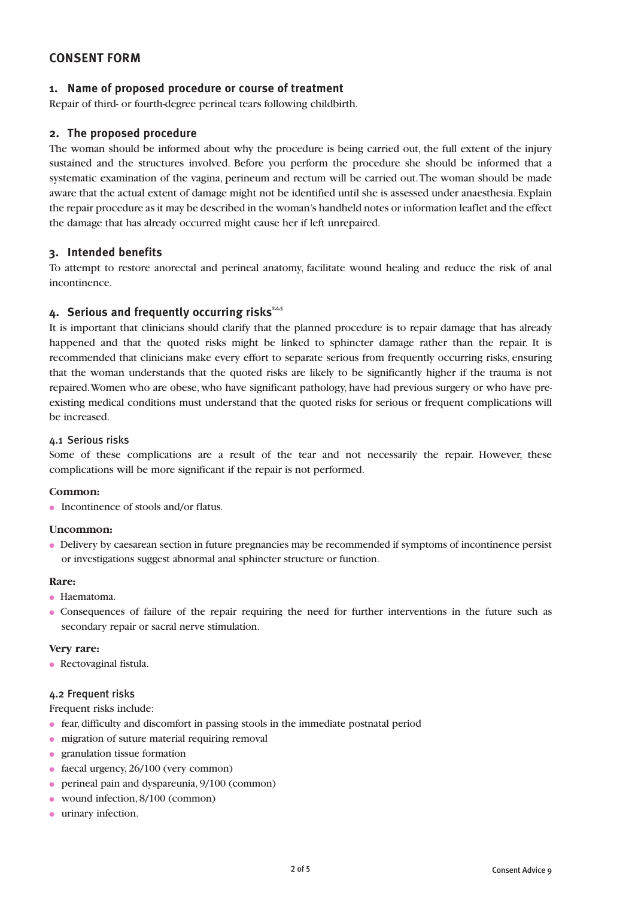# **CONSENT FORM**

### **1. Name of proposed procedure or course of treatment**

Repair of third- or fourth-degree perineal tears following childbirth.

### **2. The proposed procedure**

The woman should be informed about why the procedure is being carried out, the full extent of the injury sustained and the structures involved. Before you perform the procedure she should be informed that a systematic examination of the vagina, perineum and rectum will be carried out. The woman should be made aware that the actual extent of damage might not be identified until she is assessed under anaesthesia. Explain the repair procedure as it may be described in the woman's handheld notes or information leaflet and the effect the damage that has already occurred might cause her if left unrepaired.

### **3. Intended benefits**

To attempt to restore anorectal and perineal anatomy, facilitate wound healing and reduce the risk of anal incontinence.

## 4. Serious and frequently occurring risks<sup>2,4,5</sup>

It is important that clinicians should clarify that the planned procedure is to repair damage that has already happened and that the quoted risks might be linked to sphincter damage rather than the repair. It is recommended that clinicians make every effort to separate serious from frequently occurring risks, ensuring that the woman understands that the quoted risks are likely to be significantly higher if the trauma is not repaired. Women who are obese, who have significant pathology, have had previous surgery or who have preexisting medical conditions must understand that the quoted risks for serious or frequent complications will be increased.

#### 4.1 Serious risks

Some of these complications are a result of the tear and not necessarily the repair. However, these complications will be more significant if the repair is not performed.

#### **Common:**

● Incontinence of stools and/or flatus.

#### **Uncommon:**

● Delivery by caesarean section in future pregnancies may be recommended if symptoms of incontinence persist or investigations suggest abnormal anal sphincter structure or function.

#### **Rare:**

- Haematoma.
- Consequences of failure of the repair requiring the need for further interventions in the future such as secondary repair or sacral nerve stimulation.

#### **Very rare:**

• Rectovaginal fistula.

#### 4.2 Frequent risks

Frequent risks include:

- fear, difficulty and discomfort in passing stools in the immediate postnatal period
- migration of suture material requiring removal
- granulation tissue formation
- faecal urgency,  $26/100$  (very common)
- perineal pain and dyspareunia, 9/100 (common)
- wound infection, 8/100 (common)
- urinary infection.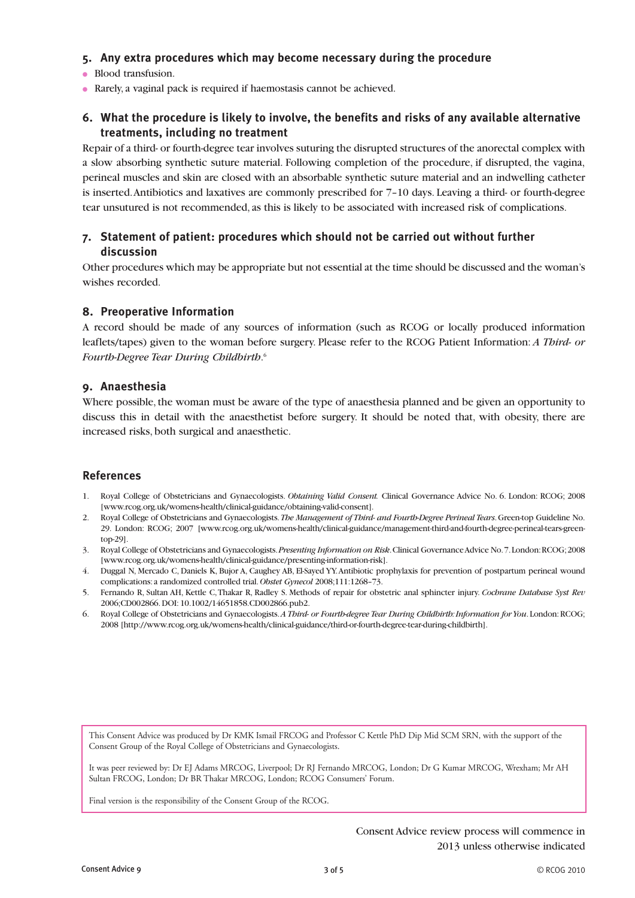# **5. Any extra procedures which may become necessary during the procedure**

- Blood transfusion.
- Rarely, a vaginal pack is required if haemostasis cannot be achieved.

# **6. What the procedure is likely to involve, the benefits and risks of any available alternative treatments, including no treatment**

Repair of a third- or fourth-degree tear involves suturing the disrupted structures of the anorectal complex with a slow absorbing synthetic suture material. Following completion of the procedure, if disrupted, the vagina, perineal muscles and skin are closed with an absorbable synthetic suture material and an indwelling catheter is inserted. Antibiotics and laxatives are commonly prescribed for 7–10 days. Leaving a third- or fourth-degree tear unsutured is not recommended, as this is likely to be associated with increased risk of complications.

# **7. Statement of patient: procedures which should not be carried out without further discussion**

Other procedures which may be appropriate but not essential at the time should be discussed and the woman's wishes recorded.

#### **8. Preoperative Information**

A record should be made of any sources of information (such as RCOG or locally produced information leaflets/tapes) given to the woman before surgery. Please refer to the RCOG Patient Information: *A Third- or Fourth-Degree Tear During Childbirth*. 6

### **9. Anaesthesia**

Where possible, the woman must be aware of the type of anaesthesia planned and be given an opportunity to discuss this in detail with the anaesthetist before surgery. It should be noted that, with obesity, there are increased risks, both surgical and anaesthetic.

#### **References**

- 1. Royal College of Obstetricians and Gynaecologists. *Obtaining Valid Consent.* Clinical Governance Advice No. 6. London: RCOG; 2008 [www.rcog.org.uk/womens-health/clinical-guidance/obtaining-valid-consent].
- 2. Royal College of Obstetricians and Gynaecologists. *The Management of Third- and Fourth-Degree Perineal Tears*. Green-top Guideline No. 29. London: RCOG; 2007 [www.rcog.org.uk/womens-health/clinical-guidance/management-third-and-fourth-degree-perineal-tears-greentop-29].
- 3. Royal College of Obstetricians and Gynaecologists. *Presenting Information on Risk*. Clinical Governance Advice No. 7. London: RCOG; 2008 [www.rcog.org.uk/womens-health/clinical-guidance/presenting-information-risk].
- 4. Duggal N, Mercado C, Daniels K, Bujor A, Caughey AB, El-Sayed YY. Antibiotic prophylaxis for prevention of postpartum perineal wound complications: a randomized controlled trial. *Obstet Gynecol* 2008;111:1268–73.
- 5. Fernando R, Sultan AH, Kettle C, Thakar R, Radley S. Methods of repair for obstetric anal sphincter injury. *Cochrane Database Syst Rev* 2006;CD002866. DOI: 10.1002/14651858.CD002866.pub2.
- 6. Royal College of Obstetricians and Gynaecologists. *A Third- or Fourth-degree Tear During Childbirth: Information for You*. London: RCOG; 2008 [http://www.rcog.org.uk/womens-health/clinical-guidance/third-or-fourth-degree-tear-during-childbirth].

This Consent Advice was produced by Dr KMK Ismail FRCOG and Professor C Kettle PhD Dip Mid SCM SRN, with the support of the Consent Group of the Royal College of Obstetricians and Gynaecologists.

It was peer reviewed by: Dr EJ Adams MRCOG, Liverpool; Dr RJ Fernando MRCOG, London; Dr G Kumar MRCOG, Wrexham; Mr AH Sultan FRCOG, London; Dr BR Thakar MRCOG, London; RCOG Consumers' Forum.

Final version is the responsibility of the Consent Group of the RCOG.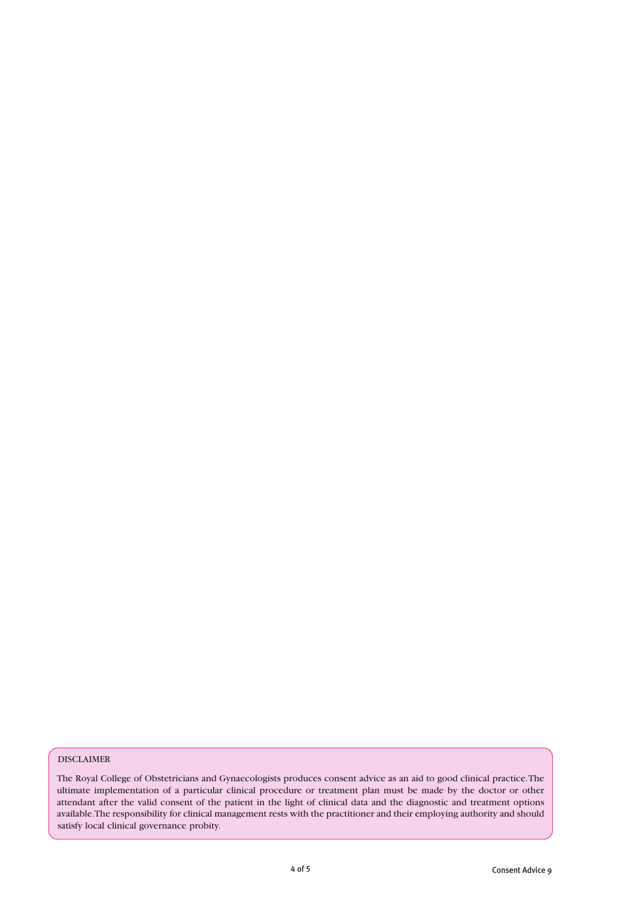#### DISCLAIMER

The Royal College of Obstetricians and Gynaecologists produces consent advice as an aid to good clinical practice. The ultimate implementation of a particular clinical procedure or treatment plan must be made by the doctor or other attendant after the valid consent of the patient in the light of clinical data and the diagnostic and treatment options available. The responsibility for clinical management rests with the practitioner and their employing authority and should satisfy local clinical governance probity.